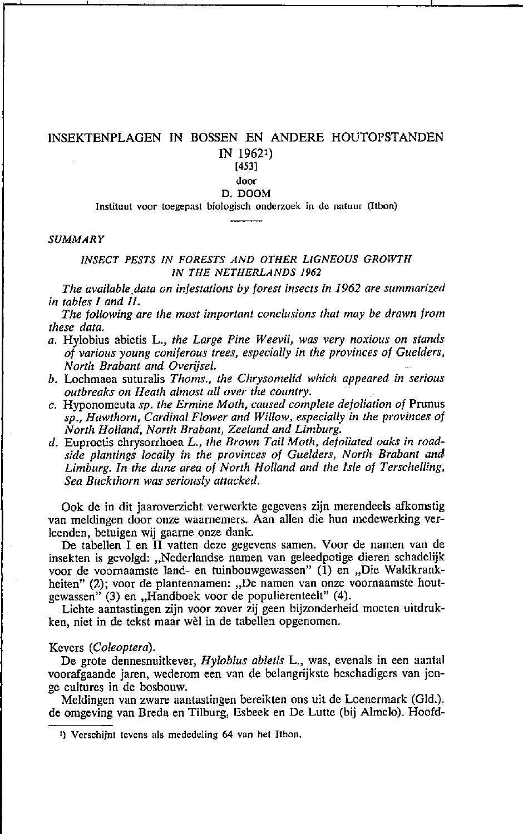# INSEKTENPLAGEN IN BOSSEN EN ANDERE HOUTOPSTANDEN

IN 19621) [453]

## **door**

### D. DOOM

Instituut voor toegepast biologisch onderzoek in de natuur (Itbon)

## *SUMMARY*

## *INSECT PESTS IN FORESTS AND OTHER LJGNEOUS GROWTH IN THE NETHERLANDS 1962*

*The available,data on infestations by forest inseclS in* 1962 *are summarized in tables* 1 *and 1I.* 

*The tollowing are the most important conclusions that may be drawn trom these data.* 

- *a.* Hy10bius abietis L., *the Large Pine Weevil, was very noxious on stands ot various young coniferous trees, especially in the provinces of Cuelders, North Brabant and Overijsel.*
- *b.* Lochmaea suturalis *Thoms., the Chrysomelid which appeared in serious outbreaks on Heath almost all over the country.*
- c. Hyponomeuta *sp. the Ermine Moth, caused complete detoliation of* Prunus *sp., Hawthorn, Cardinal Flower and Wil/ow. especially in the provinces of North Holland, North Brabant, Zeeland and Limburg.*
- *d.* Euproctis chrysorrhoea L., *the Brown Tail Moth, defoliated oaks in roadside plantings locally in the provinees of Cuelders, North Brabant and Limburg. In the dune area of North Holland and the 1sle of Terschelling, Sea Buckthorn was seriously attacked.*

Ook de in dit jaaroverzicht verwerkte gegevens zijn merendeels afkomstig van meldingen door onze waarnemers. Aan allen die hun medewerking verleenden, betuigen wij gaarne onze dank.

De tabellen I en II vatten deze gegevens samen. Voor de namen van de insekten is gevolgd: "Nederlandse namen van geleedpotige dieren schadelijk voor de voornaamste land- en tuinbouwgewassen" (1) en "Die Waldkrankheiten" (2); voor de plantennamen: "De namen van onze voornaamste houtgewassen" (3) en "Handboek voor de populierenteelt" (4).

Lichte aantastingen zijn voor zover zij geen bijzonderheid moeten uitdrukken, niet in de tekst maar wèl in de tabellen opgenomen.

### Kevers *(Coleoptera).*

De grote dennesnuitkever, *Hylobius abietis* L., was, evenals in een aantal voorafgaande jaren, wederom een van de belangrijkste beschadigers van jonge cultures in de bosbouw.

Meldingen van zware aantastingen bereikten ons uit de Loenermark (Gld.). de omgeving van Breda en Tilburg, Esbeek en De Lutte (bij Almelo). Hoofd-

**I) Verschijnt tevens als mededeling 64 van het Jtbon.**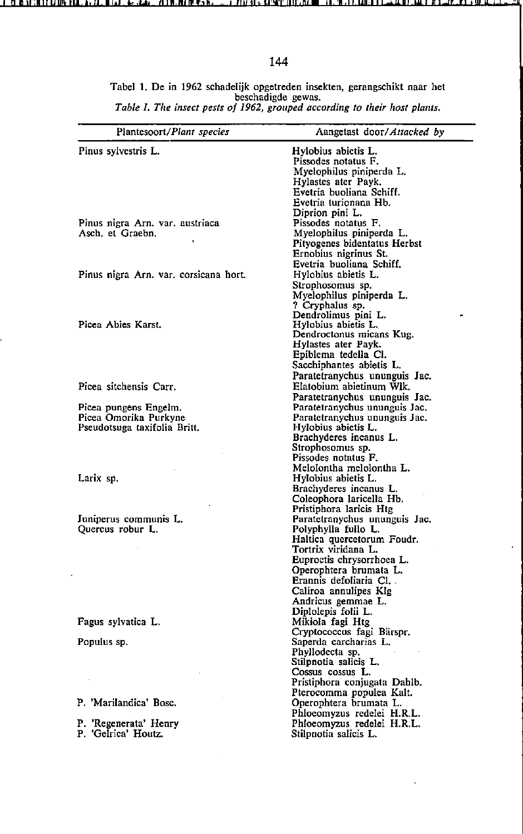Tabel 1. De in 1962 sChadelijk opgetreden insekten, gerangschikt naar het beschadigde gewas. *Table* J. *The insect pests of* 1962, *grollped accordjng 10 their host plants.* 

| Plantesoort/Plant species                      | Aangetast door/Attacked by                                     |  |  |  |  |  |  |  |
|------------------------------------------------|----------------------------------------------------------------|--|--|--|--|--|--|--|
| Pinus sylvestris L.                            | Hylobius abietis L.                                            |  |  |  |  |  |  |  |
|                                                | Pissodes notatus F.                                            |  |  |  |  |  |  |  |
|                                                | Myelophilus piniperda L.                                       |  |  |  |  |  |  |  |
|                                                | Hylastes ater Payk.                                            |  |  |  |  |  |  |  |
|                                                | Evetria buoliana Schiff,                                       |  |  |  |  |  |  |  |
|                                                | Evetria turionana Hb.                                          |  |  |  |  |  |  |  |
|                                                | Diprion pini L.                                                |  |  |  |  |  |  |  |
| Pinus nigra Arn. var. austriaca                | Pissodes notatus F.                                            |  |  |  |  |  |  |  |
| Asch. et Graebn.                               | Myelophilus piniperda L.                                       |  |  |  |  |  |  |  |
|                                                | Pityogenes bidentatus Herbst                                   |  |  |  |  |  |  |  |
|                                                | Ernobius nigrinus St.                                          |  |  |  |  |  |  |  |
|                                                | Evetria buoliana Schiff.                                       |  |  |  |  |  |  |  |
| Pinus nigra Arn. var. corsicana hort.          | Hylobius abietis L.                                            |  |  |  |  |  |  |  |
|                                                | Strophosomus sp.                                               |  |  |  |  |  |  |  |
|                                                | Myelophilus piniperda L.                                       |  |  |  |  |  |  |  |
|                                                | ? Cryphalus sp.                                                |  |  |  |  |  |  |  |
| Picea Abies Karst.                             | Dendrolimus pini L.                                            |  |  |  |  |  |  |  |
|                                                | Hylobius abietis L.                                            |  |  |  |  |  |  |  |
|                                                | Dendroctonus micans Kug.                                       |  |  |  |  |  |  |  |
|                                                | Hylastes ater Payk.<br>Epiblema tedella Cl.                    |  |  |  |  |  |  |  |
|                                                | Sacchiphantes abietis L.                                       |  |  |  |  |  |  |  |
|                                                | Paratetranychus ununguis Jac.                                  |  |  |  |  |  |  |  |
| Picea sitchensis Carr.                         | Elatobium abietinum Wik.                                       |  |  |  |  |  |  |  |
|                                                |                                                                |  |  |  |  |  |  |  |
|                                                | Paratetranychus ununguis Jac.<br>Paratetranychus ununguis Jac. |  |  |  |  |  |  |  |
| Picea pungens Engelm.<br>Picea Omorika Purkyne | Paratetranychus ununguis Jac.                                  |  |  |  |  |  |  |  |
| Pseudotsuga taxifolia Britt.                   | Hylobius abietis L.                                            |  |  |  |  |  |  |  |
|                                                | Brachyderes incanus L.                                         |  |  |  |  |  |  |  |
|                                                | Strophosomus sp.                                               |  |  |  |  |  |  |  |
|                                                | Pissodes notatus F.                                            |  |  |  |  |  |  |  |
|                                                | Melolontha melolontha L.                                       |  |  |  |  |  |  |  |
| Larix sp.                                      | Hylobius abietis L.                                            |  |  |  |  |  |  |  |
|                                                | Brachyderes incanus L.                                         |  |  |  |  |  |  |  |
|                                                | Coleophora laricella Hb.                                       |  |  |  |  |  |  |  |
|                                                | Pristiphora laricis Htg                                        |  |  |  |  |  |  |  |
| Juniperus communis L.                          | Paratetranychus ununguis Jac.                                  |  |  |  |  |  |  |  |
| Quercus robur L.                               | Polyphylla fullo L.                                            |  |  |  |  |  |  |  |
|                                                | Haltica quercetorum Foudr.                                     |  |  |  |  |  |  |  |
|                                                | Tortrix viridana L.                                            |  |  |  |  |  |  |  |
|                                                | Euproctis chrysorrhoea L.                                      |  |  |  |  |  |  |  |
|                                                | Operophtera brumata L.                                         |  |  |  |  |  |  |  |
|                                                | Erannis defoliaria Cl.                                         |  |  |  |  |  |  |  |
|                                                | Caliroa annulipes Klg                                          |  |  |  |  |  |  |  |
|                                                | Andricus gemmae L.                                             |  |  |  |  |  |  |  |
|                                                | Diplolepis folii L.                                            |  |  |  |  |  |  |  |
| Fagus sylvatica L.                             | Mikiola fagi Htg                                               |  |  |  |  |  |  |  |
|                                                | Cryptococcus fagi Bärspr.                                      |  |  |  |  |  |  |  |
| Populus sp.                                    | Saperda carcharias L.                                          |  |  |  |  |  |  |  |
|                                                | Phyllodecta sp.                                                |  |  |  |  |  |  |  |
|                                                | Stilpnotia salicis L.                                          |  |  |  |  |  |  |  |
|                                                | Cossus cossus L.                                               |  |  |  |  |  |  |  |
|                                                | Pristiphora conjugata Dahlb.                                   |  |  |  |  |  |  |  |
|                                                | Pterocomma populea Kalt.                                       |  |  |  |  |  |  |  |
| P. 'Marilandica' Bosc.                         | Operophtera brumata L.                                         |  |  |  |  |  |  |  |
|                                                | Phloeomyzus redelei H.R.L.                                     |  |  |  |  |  |  |  |
| P. 'Regenerata' Henry                          | Phloeomyzus redelei H.R.L.                                     |  |  |  |  |  |  |  |
| P. 'Gelrica' Houtz.                            | Stilpnotia salicis L.                                          |  |  |  |  |  |  |  |
|                                                |                                                                |  |  |  |  |  |  |  |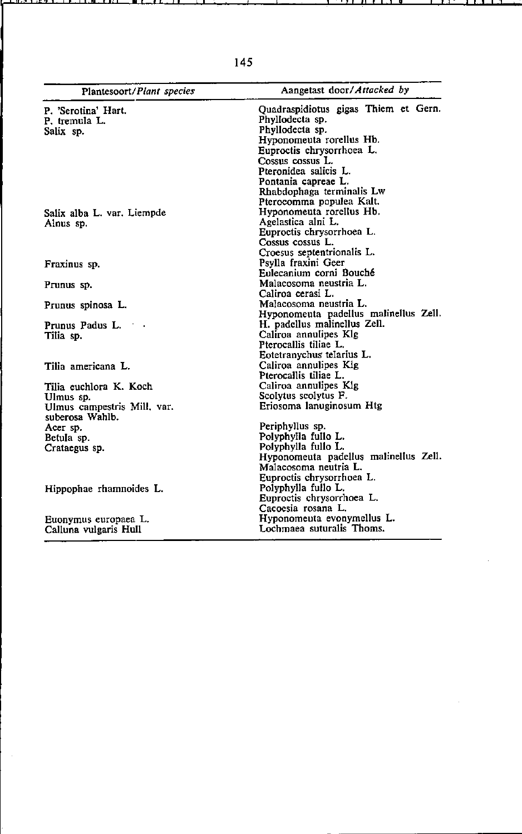| Plantesoort/Plant species   | Aangetast door/Attacked by                       |                          |  |  |  |  |  |  |  |  |
|-----------------------------|--------------------------------------------------|--------------------------|--|--|--|--|--|--|--|--|
| P. 'Serotina' Hart.         | Quadraspidiotus gigas Thiem et Gern.             |                          |  |  |  |  |  |  |  |  |
| P. tremula L.               | Phyllodecta sp.                                  |                          |  |  |  |  |  |  |  |  |
| Salix sp.                   | Phyllodecta sp.                                  |                          |  |  |  |  |  |  |  |  |
|                             | Hyponomeuta rorellus Hb.                         |                          |  |  |  |  |  |  |  |  |
|                             | Euproctis chrysorrhoea L.<br>Cossus cossus L.    |                          |  |  |  |  |  |  |  |  |
|                             |                                                  |                          |  |  |  |  |  |  |  |  |
|                             | Pontania capreae L.<br>Rhabdophaga terminalis Lw |                          |  |  |  |  |  |  |  |  |
|                             |                                                  |                          |  |  |  |  |  |  |  |  |
|                             | Salix alba L. var. Liempde                       | Hyponomeuta rorellus Hb. |  |  |  |  |  |  |  |  |
| Alnus sp.                   | Agelastica alni L.                               |                          |  |  |  |  |  |  |  |  |
|                             | Euproctis chrysorrhoea L.                        |                          |  |  |  |  |  |  |  |  |
|                             | Cossus cossus L.                                 |                          |  |  |  |  |  |  |  |  |
|                             | Croesus septentrionalis L.                       |                          |  |  |  |  |  |  |  |  |
| Fraxinus sp.                | Psylla fraxini Geer                              |                          |  |  |  |  |  |  |  |  |
|                             | Eulecanium corni Bouché                          |                          |  |  |  |  |  |  |  |  |
| Prunus sp.                  | Malacosoma neustria L.                           |                          |  |  |  |  |  |  |  |  |
|                             | Caliroa cerasi L.                                |                          |  |  |  |  |  |  |  |  |
| Prunus spinosa L.           | Malacosoma neustria L.                           |                          |  |  |  |  |  |  |  |  |
|                             | Hyponomeuta padellus malinellus Zell.            |                          |  |  |  |  |  |  |  |  |
| Prunus Padus L.             | H. padellus malinellus Zell.                     |                          |  |  |  |  |  |  |  |  |
| Tilia sp.                   | Caliroa annulipes Klg                            |                          |  |  |  |  |  |  |  |  |
|                             | Pterocallis tiliae L.                            |                          |  |  |  |  |  |  |  |  |
|                             | Eotetranychus telarius L.                        |                          |  |  |  |  |  |  |  |  |
| Tilia americana L.          | Caliroa annulipes Kig                            |                          |  |  |  |  |  |  |  |  |
|                             | Pterocallis tiliae L.                            |                          |  |  |  |  |  |  |  |  |
| Tilia euchlora K. Koch      | Caliroa annulipes Kig                            |                          |  |  |  |  |  |  |  |  |
| Ulmus sp.                   | Scolytus scolytus F.                             |                          |  |  |  |  |  |  |  |  |
| Ulmus campestris Mill, var. | Eriosoma lanuginosum Htg                         |                          |  |  |  |  |  |  |  |  |
| suberosa Wahlb.             |                                                  |                          |  |  |  |  |  |  |  |  |
| Acer sp.                    | Periphyllus sp.                                  |                          |  |  |  |  |  |  |  |  |
| Betula sp.                  | Polyphylla fullo L.                              |                          |  |  |  |  |  |  |  |  |
| Crataegus sp.               | Polyphylla fullo L.                              |                          |  |  |  |  |  |  |  |  |
|                             | Hyponomeuta padellus malinellus Zell.            |                          |  |  |  |  |  |  |  |  |
|                             | Malacosoma neutria L.                            |                          |  |  |  |  |  |  |  |  |
|                             | Euproctis chrysorrhoea L.                        |                          |  |  |  |  |  |  |  |  |
| Hippophae rhamnoides L.     | Polyphylla fullo L.                              |                          |  |  |  |  |  |  |  |  |
|                             | Euproctis chrysorrhoea L.                        |                          |  |  |  |  |  |  |  |  |
|                             | Cacoesia rosana L.                               |                          |  |  |  |  |  |  |  |  |
| Euonymus europaea L.        | Hyponomeuta evonymellus L.                       |                          |  |  |  |  |  |  |  |  |
| Calluna vulgaris Hull       | Lochmaea suturalis Thoms.                        |                          |  |  |  |  |  |  |  |  |

145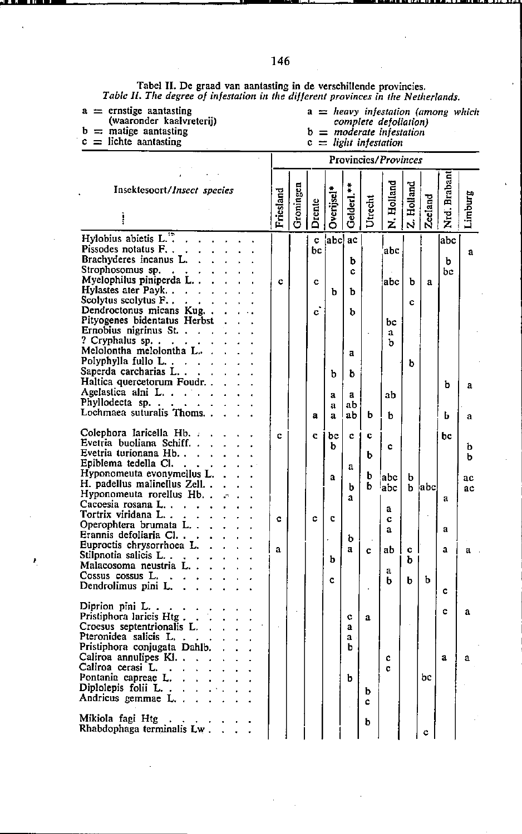Tabel II. De graad van aantasting in de verschillende provincies.<br>Table II. The degree of infestation in the different provinces in the Netherlands.

 $\mathbf{I}$ 

- $a =$  ernstige aantasting<br>
(waaronder kaalvreterij)<br>  $b =$  matige aantasting<br>  $c =$  lichte aantasting
- 
- 

z

 $a = heavy$  infestation (among which<br>complete defoliation)<br> $b = moderate$  infestation

 $\ddot{\phantom{0}}$ 

- 
- $c = light$  infestation

Provincies/Provinces

| Insektesoort/Insect species                               | Friesland | Groningen |              | Overijsel    | Gelderl.**   |         | N. Holland | Holland | Zeeland | Nrd. Braban | Limburg |
|-----------------------------------------------------------|-----------|-----------|--------------|--------------|--------------|---------|------------|---------|---------|-------------|---------|
|                                                           |           |           | Drente       |              |              | Utrecht |            | نہ ا    |         |             |         |
| Hylobius abietis L. <sup>17</sup> .                       |           |           | c            | 'abcl        | ac           |         |            |         |         | abc         |         |
| Pissodes notatus F. .                                     |           |           | bc           |              |              |         | abc l      |         |         |             | a       |
| Brachyderes incanus L.<br>Strophosomus sp.                |           |           |              |              | b            |         |            |         |         | ы           |         |
| $\sim 10^{-11}$<br>Myelophilus piniperda L                | c         |           | c            |              | c            |         | abc        | b       | a       | bc          |         |
| Hylastes ater Payk.                                       |           |           |              | Ъ            | ħ            |         |            |         |         |             |         |
| Scolytus scolytus F                                       |           |           |              |              |              |         |            | Ċ       |         |             |         |
| Dendroctonus micans Kug                                   |           |           | c,           |              | b            |         |            |         |         |             |         |
| Pityogenes bidentatus Herbst                              |           |           |              |              |              |         | bс         |         |         |             |         |
| Ernobius nigrinus St.                                     |           |           |              |              |              |         | a          |         |         |             |         |
| ? Cryphalus sp.<br>Melolontha melolontha L.               |           |           |              |              |              |         | b          |         |         |             |         |
| Polyphylla fullo L                                        |           |           |              |              | a            |         |            | ь       |         |             |         |
| Saperda carcharias L                                      |           |           |              | b            | b            |         |            |         |         |             |         |
| Haltica quercetorum Foudr                                 |           |           |              |              |              |         |            |         |         | ь           | a       |
| Agelastica alni L.                                        |           |           |              | a            | a            |         | ab         |         |         |             |         |
| Phyllodecta sp                                            |           |           |              | a            | aЬ           |         |            |         |         |             |         |
| Lochmaea suturalis Thoms                                  |           |           | $\mathbf{a}$ | a            | ab           | ь       | ь          |         |         | Ь           | a       |
| Colephora laricella Hb. .                                 | c.        |           | c            | bc           | c            | c       |            |         |         | bс          |         |
| Evetria buoliana Schiff                                   |           |           |              | b            |              |         | c          |         |         |             | ь       |
| Evetria turionana Hb.                                     |           |           |              |              |              | ь       |            |         |         |             | ь       |
| Epiblema tedella Cl.                                      |           |           |              |              | a            |         |            |         |         |             |         |
| Hyponomeuta evonymellus L.<br>H. padellus malinellus Zell |           |           |              | $\mathbf{a}$ |              | b       | abc        | b       |         |             | ac      |
| Hyponomeuta rorellus Hb.,                                 |           |           |              |              | b            | ь       | abc        | b       | label   |             | ac      |
| Cacoesia rosana L.<br>$\mathbf{r}$                        |           |           |              |              | $\mathbf{a}$ |         |            |         |         | a           |         |
| Tortrix viridana L. .                                     | c         |           | ¢            | C            |              |         | а<br>c     |         |         |             |         |
| Operophtera brumata L                                     |           |           |              |              |              |         | a          |         |         | a           |         |
| Erannis defoliaria Cl                                     |           |           |              |              | b            |         |            |         |         |             |         |
| Euproctis chrysorrhoea L.<br>Stilpnotia salicis L         | a         |           |              |              | a            | Ċ       | ab         | c       |         | a           | a       |
| Malacosoma neustria L.                                    |           |           |              | b            |              |         |            | b       |         |             |         |
| Cossus cossus L.                                          |           |           |              |              |              |         | a          |         |         |             |         |
| Dendrolimus pini L.                                       |           |           |              | C            |              |         | h          | ь       | b       | c           |         |
| Diprion pini L.                                           |           |           |              |              |              |         |            |         |         |             |         |
| Pristiphora laricis Htg.                                  |           |           |              |              | ¢            | a       |            |         |         | c           | a       |
| Croesus septentrionalis L.                                |           |           |              |              | ā            |         |            |         |         |             |         |
| Pteronidea salicis L.                                     |           |           |              |              | a            |         |            |         |         |             |         |
| Pristiphora conjugata Dahlb.                              |           |           |              |              | h            |         |            |         |         |             |         |
| Caliroa annulipes Kl.<br>Caliroa cerasi L.                |           |           |              |              |              |         | c          |         |         | a           | a       |
| $\sim$<br>Pontania capreae L.<br>L.                       |           |           |              |              | b            |         | c          |         | bc      |             |         |
| Diplolepis folii L                                        |           |           |              |              |              |         |            |         |         |             |         |
| Andricus gemmae L                                         |           |           |              |              |              | b<br>с  |            |         |         |             |         |
|                                                           |           |           |              |              |              |         |            |         |         |             |         |
| Mikiola fagi Htg                                          |           |           |              |              |              | b       |            |         |         |             |         |
| Rhabdophaga terminalis Lw.                                |           |           |              |              |              |         |            |         | c       |             |         |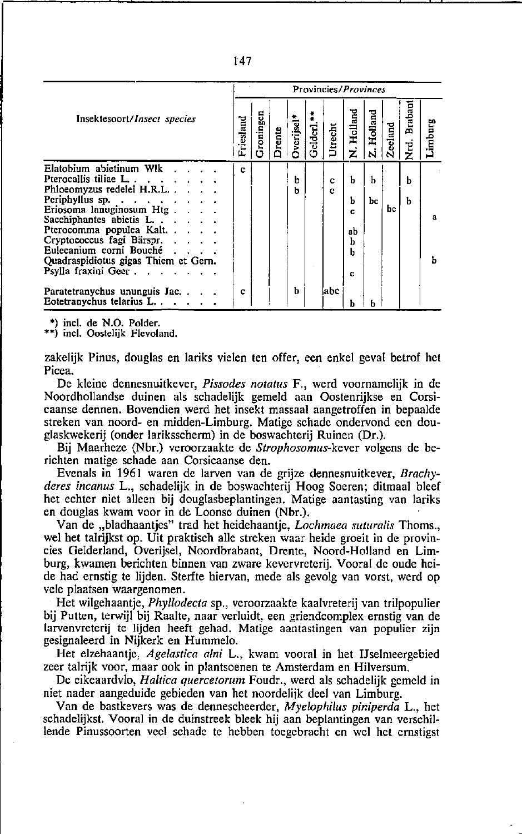| Braban<br>Holland<br>Holland<br>Groningen<br>Insektesoort/Insect species<br>Friesland<br><b>Dverijsel*</b><br>Gelderl. <sup>*</sup><br><b>Zecland</b><br>Utrecht<br>Drente<br>rd.<br>Z<br>ż<br>Ń<br>Elatobium abietinum Wlk<br>c<br>Pterocallis tiliae L.<br>b<br>ь<br>Ь<br>ь<br>c<br>Phloeomyzus redelei H.R.L<br>ъ<br>C<br>Periphyllus sp.<br>b<br>ь<br>bс<br>Eriosoma lanuginosum Htg.<br>bс.<br>c<br>Sacchiphantes abietis L<br>Pterocomma populea Kalt<br>ab<br>Cryptococcus fagi Bärspr.<br>b<br>Eulecanium corni Bouché<br><b>Contract Contract Contract</b><br>b |                                      | Provincies/ <i>Provinces</i> |  |  |  |  |  |  |  |  |  |         |
|--------------------------------------------------------------------------------------------------------------------------------------------------------------------------------------------------------------------------------------------------------------------------------------------------------------------------------------------------------------------------------------------------------------------------------------------------------------------------------------------------------------------------------------------------------------------------|--------------------------------------|------------------------------|--|--|--|--|--|--|--|--|--|---------|
|                                                                                                                                                                                                                                                                                                                                                                                                                                                                                                                                                                          |                                      |                              |  |  |  |  |  |  |  |  |  | Limburg |
| Psylla fraxini Geer.<br>c.<br>ь<br>¦abc<br>Paratetranychus ununguis Jac<br>c<br>Eotetranychus telarius L                                                                                                                                                                                                                                                                                                                                                                                                                                                                 | Quadraspidiotus gigas Thiem et Gern. |                              |  |  |  |  |  |  |  |  |  | a<br>ħ  |

\*) incl. de N.O. Polder.

\*\*) incl. Oostelijk Flevoland.

zakelijk Pinus, douglas en lariks vielen ten offer, een enkel geval betrof het Picea.

De kleine dennesnuitkever, Pissodes notatus F., werd voornamelijk in de Noordhollandse duinen als schadelijk gemeld aan Oostenrijkse en Corsicaanse dennen. Bovendien werd het insekt massaal aangetroffen in bepaalde streken van noord- en midden-Limburg. Matige schade ondervond een douglaskwekerij (onder lariksscherm) in de boswachterij Ruinen (Dr.).

Bij Maarheze (Nbr.) veroorzaakte de Strophosomus-kever volgens de berichten matige schade aan Corsicaanse den.

Evenals in 1961 waren de larven van de grijze dennesnuitkever, Brachyderes incanus L., schadelijk in de boswachterij Hoog Soeren; ditmaal bleef het echter niet alleen bij douglasbeplantingen. Matige aantasting van lariks en douglas kwam voor in de Loonse duinen (Nbr.).

Van de "bladhaantjes" trad het heidehaantje, Lochmaea suturalis Thoms., wel het talrijkst op. Uit praktisch alle streken waar heide groeit in de provincies Gelderland, Overijsel, Noordbrabant, Drente, Noord-Holland en Limburg, kwamen berichten binnen van zware kevervreterij. Vooral de oude heide had ernstig te lijden. Sterfte hiervan, mede als gevolg van vorst, werd op vele plaatsen waargenomen.

Het wilgehaantje, Phyllodecta sp., veroorzaakte kaalvreterij van trilpopulier bij Putten, terwijl bij Raalte, naar verluidt, een griendcomplex ernstig van de larvenvreterij te lijden heeft gehad. Matige aantastingen van populier zijn gesignaleerd in Nijkerk en Hummelo.

Het elzehaantje, Agelastica alni L., kwam vooral in het IJselmeergebied zeer talrijk voor, maar ook in plantsoenen te Amsterdam en Hilversum.

De eikeaardvlo, Haltica quercetorum Foudr., werd als schadelijk gemeld in niet nader aangeduide gebieden van het noordelijk deel van Limburg.

Van de bastkevers was de dennescheerder, Myelophilus piniperda L., het schadelijkst. Vooral in de duinstreek bleek hij aan beplantingen van verschillende Pinussoorten veel schade te hebben toegebracht en wel het ernstigst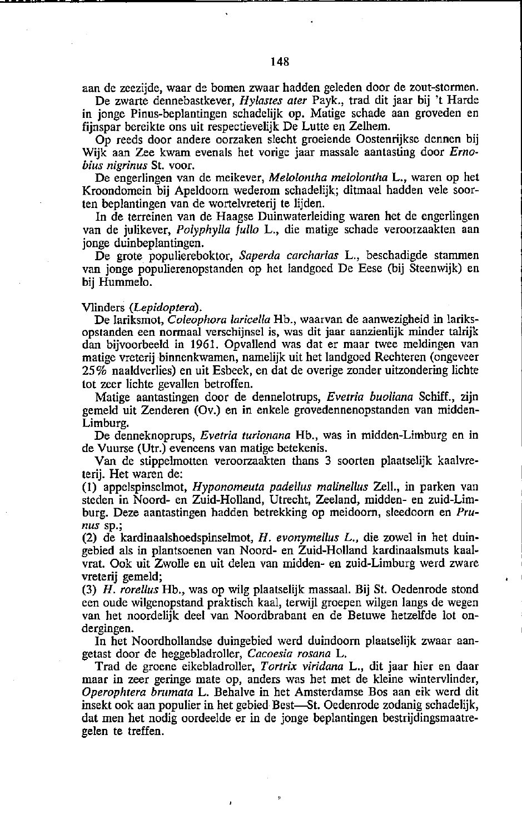aan de zeezijde, waar de bomen zwaar hadden geleden door de zout-stormen.

De zwarte dennebastkever, *Hylasles aler* Payk., trad dit jaar bij 't Harde in jonge Pinus-beplantingen schadelijk op. Matige schade aan groveden en fijnspar bereikte ons uit respectievelijk De Lutte en Zelhem.

Op reeds door andere oorzaken slecht groeiende Oostenrijkse dennen bij Wijk aan Zee kwam evenals het vorige jaar massale aantasting door *Ernobius nigrinus* St. voor.

De engerlingen van de meikever, *Melolontha melolontha* L., waren op het Kroondomein bij Apeldoorn wederom schadelijk; ditmaal hadden vele soorten beplantingen van de wortelvreterij te lijden.

In de terreinen van de Haagse Duinwaterleiding waren het de engerlingen van de julikever, *Polyphylla fullo* L., die matige schade veroorzaakten aan jonge duinbeplantingen.

De grote populiereboktor, *Saperda carcharias* L., beschadigde stammen van jonge populierenopstanden op het landgoed De Eese (bij Steenwijk) en bij Hummelo.

#### Vlinders *(Lepidoptera).*

De lariksmot, *Coleophora larieelIa* Hb., waarvan de aanwezigheid in lariksopstanden een normaal verschijnsel is, was dit jaar aanzienlijk minder talrijk dan bijvoorbeeld in 1961. Opvallend was dat er maar twee meldingen van matige vreterij binnenkwamen, namelijk uit het landgoed Rechteren (ongeveer 25 % naaldverlies) en uit Esbeek, en dat de overige zonder uitzondering lichte tot zeer lichte gevallen betroffen.

Matige aantastingen door de dennelotrups, *Evelria buo/iana* Schiff., zijn gemeld uit Zenderen (Ov.) en in enkele grovedennenopstanden van midden-Limburg.

De denneknoprups, *Evetria turionana* Hb., was in midden-Limburg en in de Vuurse (Utr.) eveneens van matige betekenis.

Van de stippelmotten veroorzaakten thans 3 soorten plaatselijk kaaIvreterij. Het waren de:

(I) appelspinselmot, *Hyponomeuta padellus ma/inellus* Zeil., in parken van steden in Noord- en Zuid-Holland, Utrecht, Zeeland, midden- en zuid-Limburg. Deze aantastingen hadden betrekking op meidoorn, sleedoorn en *Prunus* **sp.;** 

(2) de kardinaalshoedspinselmot, *H. evonymellus* L., die zowel in het duingebied als in plantsoenen van Noord- en Zuid-Holland kardinaalsmuts kaalvrat. Ook uit Zwolle en uit delen van midden- en zuid-Limburg werd zware vreterij gemeld;

*(3) H. rorellus* Hb., was op wilg plaatselijk massaal. Bij St. Oedemode stond een oude wilgen opstand praktisch kaal, terwijl groepen wilgen langs de wegen van het noordelijk deel van Noordbrabant en de Betuwe hetzelfde lot ondergingen.

In het Noordhollandse duingebied werd duindoorn plaatselijk zwaar aangetast door de heggebladroller, *Cacoesia rosana* L.

Trad de groene eikebladroller, *Tortrix viridana* L., dit jaar hier en daar maar in zeer geringe mate op, anders was het met de kleine wintervlinder, *Operophtera brumata* L. Behalve in het Amsterdamse Bos aan eik werd dit insekt ook aan populier in het gebied Best-St. Oedemode zodanig schadelijk, dat men het nodig oordeelde er in de jonge beplantingen bestrijdingsmaatregelen te treffen.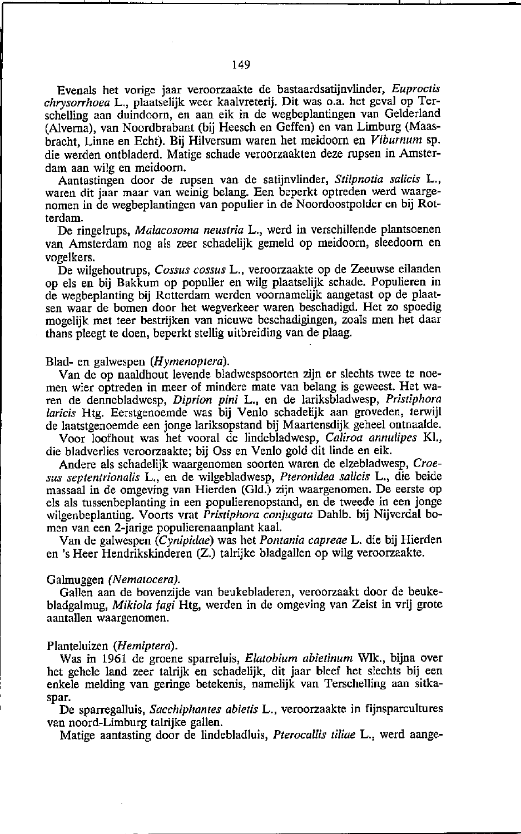Evenals het vorige jaar veroorzaakte de bastaardsatijnvlinder, *Euproctis chrysorrhoea* L., plaatselijk weer kaalvreterij. Dit was o.a. het geval op Terschelling aan duindoorn, en aan eik in de wegbeplantingen van Gelderland (Alverna), van Noordbrabant (bij Heesch en Geffen) en van Limburg (Maasbracht, Linne en Echt). Bij Hilversum waren het meidoorn en *Viburnum* sp. die werden ontbladerd. Matige schade veroorzaakten deze rupsen in Amsterdam aan wilg en meidoorn.

Aantastingen door de rupsen van de satijnvlinder, *S/ilpnotia salieis* L., waren dit jaar maar van weinig belang. Een beperkt optreden werd waargenomen in de wegbeplantingen van populier in de Noordoostpolder en bij Rotterdam.

De ringelrups, *Malacosoma neustria* L., werd in verschillende plantsoenen van Amsterdam nog als zeer schadelijk gemeld op meidoorn, sleedoorn en vogelkers.

De wilgehoutrups, *Cossus cossus* L., veroorzaakte op de Zeeuwse eilanden op els en bij Bakkum op populier en wilg plaatselijk schade. Populieren in de wegbeplanting bij Rotterdam werden voornamelijk aangetast op de plaatsen waar de bomen door het wegverkeer waren beschadigd. Het zo spoedig mogelijk met teer bestrijken van nieuwe beschadigingen, zoals men het daar thans pleegt te doen, beperkt stellig uitbreiding van de plaag.

#### Blad- en galwespen *(Hymenoptera).*

Van de op naaldhout levende bladwespsoorten zijn er slechts twee te noemen wier optreden in meer of mindere mate van belang is geweest. Het waren de dennebladwesp, *Diprion pini* L., en de lariksbladwesp, *Pristiphora larieis* Htg. Eerstgenoemde was bij Venlo schadelijk aan groveden, terwijl de laatstgenoemde een jonge lariksopstand bij Maartensdijk geheel ontnaalde.

Voor loofhout was het vooral de lindebladwesp, *Caliroa annulipes* Kl., die bladverlies veroorzaakte; bij Oss en Venlo gold dit linde en eik.

Andere als schadelijk waargenomen soorten waren de elzebladwesp, *Croesus septentrionalis* L., en de wilgebladwesp, *Pteronidea salicis* L., die beide massaal in de omgeving van Hierden (Gld.) zijn waargenomen. De eerste op els als tussenbeplanting in een populierenopstand, en de tweede in een jonge wilgenbeplanting. Voorts vrat *Pristiphora conjugata* Dahlb. bij Nijverdal bomen van een 2-jarige populierenaanplant kaal.

Van de galwespen *(Cynipidae)* was het *POn/ania capreae* L. die bij Hierden en 's Heer Hendrikskinderen (Z.) talrijke bladgallen op wilg veroorzaakte.

## Galmuggen *(Nematocera).*

Gallen aan de bovenzijde van beukebiaderen, veroorzaakt door de beukebladgalmug, *Mikiola tagi* Htg, werden in de omgeving van Zeist in vrij grote aantallen waargenomen.

#### Planteluizen *(Hemiptera).*

Was in 1961 de groene sparreluis, *Elatobium abietinum* Wlk., bijna over het gehele land zeer talrijk en schadelijk, dit iaar bleef het slechts bij een enkele melding van geringe betekenis, namelijk van Terschelling aan sitkaspar.

De sparregalluis, Sacchiphantes abietis L., veroorzaakte in fijnsparcultures van noord-Limburg talrijke gallen.

Matige aantasting door de lindebladluis, *Pterocallis tiliae* L., werd aange-